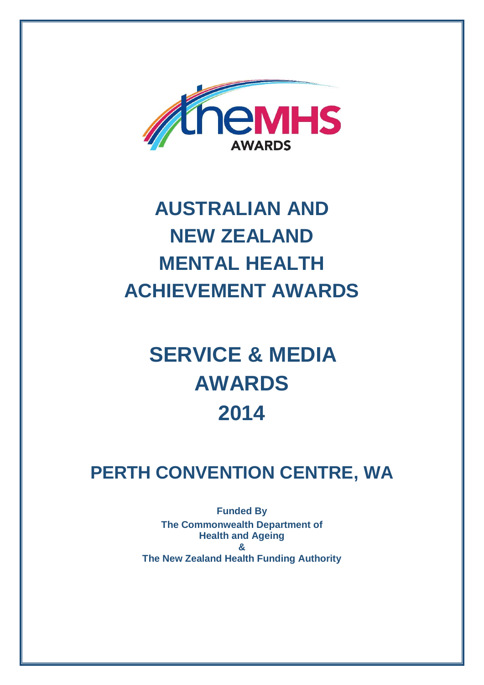

## **AUSTRALIAN AND NEW ZEALAND MENTAL HEALTH ACHIEVEMENT AWARDS**

## **SERVICE & MEDIA AWARDS 2014**

## **PERTH CONVENTION CENTRE, WA**

**Funded By The Commonwealth Department of Health and Ageing & The New Zealand Health Funding Authority**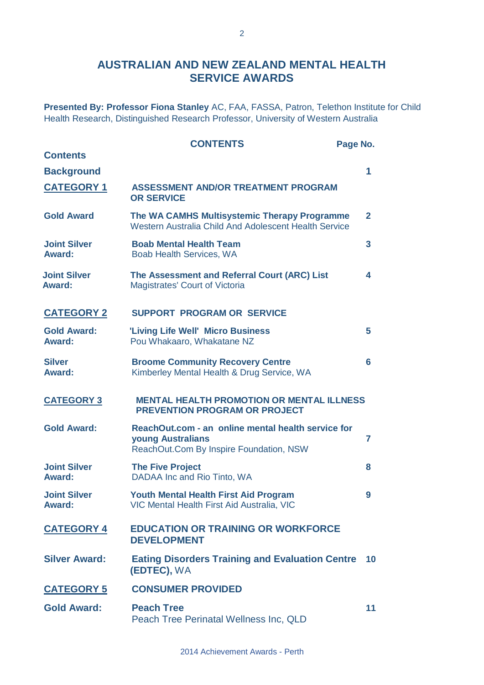#### **AUSTRALIAN AND NEW ZEALAND MENTAL HEALTH SERVICE AWARDS**

**Presented By: Professor Fiona Stanley** AC, FAA, FASSA, Patron, Telethon Institute for Child Health Research, Distinguished Research Professor, University of Western Australia

|                                      | <b>CONTENTS</b>                                                                                                    | Page No.       |
|--------------------------------------|--------------------------------------------------------------------------------------------------------------------|----------------|
| <b>Contents</b>                      |                                                                                                                    |                |
| <b>Background</b>                    |                                                                                                                    | 1              |
| <b>CATEGORY 1</b>                    | <b>ASSESSMENT AND/OR TREATMENT PROGRAM</b><br><b>OR SERVICE</b>                                                    |                |
| <b>Gold Award</b>                    | The WA CAMHS Multisystemic Therapy Programme<br>Western Australia Child And Adolescent Health Service              | $\overline{2}$ |
| <b>Joint Silver</b><br><b>Award:</b> | <b>Boab Mental Health Team</b><br>Boab Health Services, WA                                                         | 3              |
| <b>Joint Silver</b><br><b>Award:</b> | The Assessment and Referral Court (ARC) List<br>Magistrates' Court of Victoria                                     | 4              |
| <b>CATEGORY 2</b>                    | <b>SUPPORT PROGRAM OR SERVICE</b>                                                                                  |                |
| <b>Gold Award:</b><br><b>Award:</b>  | 'Living Life Well' Micro Business<br>Pou Whakaaro, Whakatane NZ                                                    | 5              |
| <b>Silver</b><br>Award:              | <b>Broome Community Recovery Centre</b><br>Kimberley Mental Health & Drug Service, WA                              | 6              |
| <b>CATEGORY 3</b>                    | <b>MENTAL HEALTH PROMOTION OR MENTAL ILLNESS</b><br><b>PREVENTION PROGRAM OR PROJECT</b>                           |                |
| <b>Gold Award:</b>                   | ReachOut.com - an online mental health service for<br>young Australians<br>ReachOut.Com By Inspire Foundation, NSW | 7              |
| <b>Joint Silver</b><br><b>Award:</b> | <b>The Five Project</b><br>DADAA Inc and Rio Tinto, WA                                                             | 8              |
| <b>Joint Silver</b><br><b>Award:</b> | <b>Youth Mental Health First Aid Program</b><br>VIC Mental Health First Aid Australia, VIC                         | 9              |
| <b>CATEGORY 4</b>                    | <b>EDUCATION OR TRAINING OR WORKFORCE</b><br><b>DEVELOPMENT</b>                                                    |                |
| <b>Silver Award:</b>                 | <b>Eating Disorders Training and Evaluation Centre</b><br>(EDTEC), WA                                              | 10             |
| <b>CATEGORY 5</b>                    | <b>CONSUMER PROVIDED</b>                                                                                           |                |
| <b>Gold Award:</b>                   | <b>Peach Tree</b><br>Peach Tree Perinatal Wellness Inc, QLD                                                        | 11             |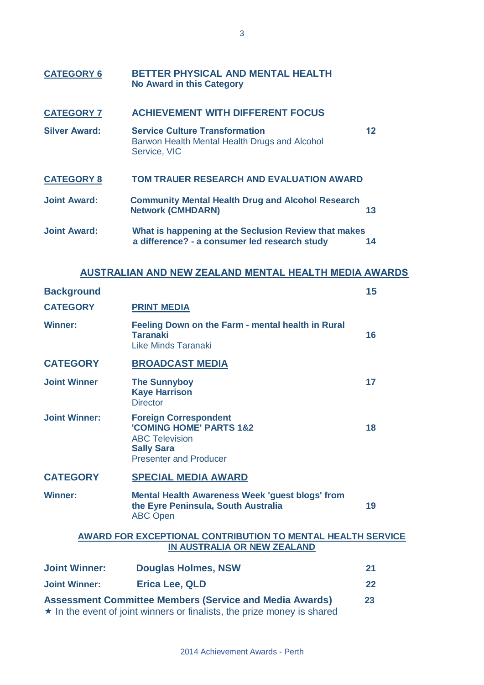| <b>CATEGORY 6</b>    | BETTER PHYSICAL AND MENTAL HEALTH<br><b>No Award in this Category</b>                                  |           |
|----------------------|--------------------------------------------------------------------------------------------------------|-----------|
| <b>CATEGORY 7</b>    | <b>ACHIEVEMENT WITH DIFFERENT FOCUS</b>                                                                |           |
| <b>Silver Award:</b> | <b>Service Culture Transformation</b><br>Barwon Health Mental Health Drugs and Alcohol<br>Service, VIC | 12        |
| <b>CATEGORY 8</b>    | <b>TOM TRAUER RESEARCH AND EVALUATION AWARD</b>                                                        |           |
| <b>Joint Award:</b>  | <b>Community Mental Health Drug and Alcohol Research</b><br><b>Network (CMHDARN)</b>                   | 13        |
| <b>Joint Award:</b>  | What is happening at the Seclusion Review that makes<br>a difference? - a consumer led research study  | 14        |
|                      | AUSTRALIAN AND NEW ZEALAND MENTAL HEALTH MEDIA AWARDS                                                  |           |
|                      |                                                                                                        | <b>AF</b> |

| <b>Background</b>                                                                                                                                |                                                                                                                                                   | 15 |
|--------------------------------------------------------------------------------------------------------------------------------------------------|---------------------------------------------------------------------------------------------------------------------------------------------------|----|
| <b>CATEGORY</b>                                                                                                                                  | <b>PRINT MEDIA</b>                                                                                                                                |    |
| <b>Winner:</b>                                                                                                                                   | Feeling Down on the Farm - mental health in Rural<br><b>Taranaki</b><br>Like Minds Taranaki                                                       | 16 |
| <b>CATEGORY</b>                                                                                                                                  | <b>BROADCAST MEDIA</b>                                                                                                                            |    |
| <b>Joint Winner</b>                                                                                                                              | <b>The Sunnyboy</b><br><b>Kaye Harrison</b><br><b>Director</b>                                                                                    | 17 |
| <b>Joint Winner:</b>                                                                                                                             | <b>Foreign Correspondent</b><br><b>'COMING HOME' PARTS 1&amp;2</b><br><b>ABC Television</b><br><b>Sally Sara</b><br><b>Presenter and Producer</b> | 18 |
| <b>CATEGORY</b>                                                                                                                                  | <b>SPECIAL MEDIA AWARD</b>                                                                                                                        |    |
| <b>Winner:</b>                                                                                                                                   | <b>Mental Health Awareness Week 'guest blogs' from</b><br>the Eyre Peninsula, South Australia<br><b>ABC Open</b>                                  | 19 |
|                                                                                                                                                  | <b>AWARD FOR EXCEPTIONAL CONTRIBUTION TO MENTAL HEALTH SERVICE</b><br><b>IN AUSTRALIA OR NEW ZEALAND</b>                                          |    |
| <b>Joint Winner:</b>                                                                                                                             | <b>Douglas Holmes, NSW</b>                                                                                                                        | 21 |
| <b>Joint Winner:</b>                                                                                                                             | <b>Erica Lee, QLD</b>                                                                                                                             | 22 |
| <b>Assessment Committee Members (Service and Media Awards)</b><br>23<br>the the current of inite winners of finalists, the prime means is aboved |                                                                                                                                                   |    |

 $\star$  In the event of joint winners or finalists, the prize money is shared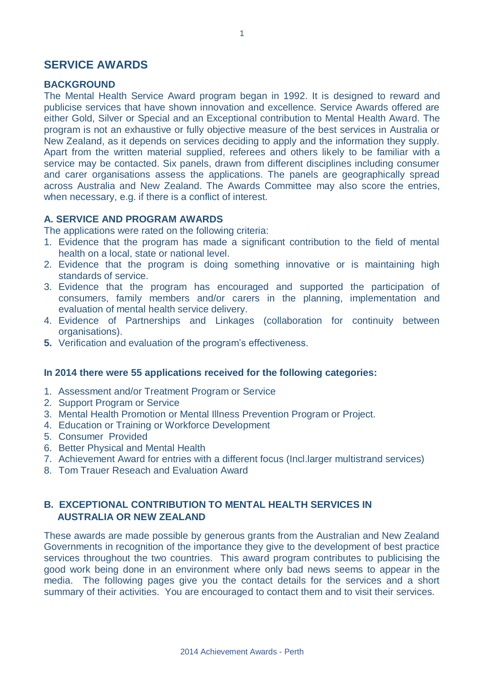#### **SERVICE AWARDS**

#### **BACKGROUND**

The Mental Health Service Award program began in 1992. It is designed to reward and publicise services that have shown innovation and excellence. Service Awards offered are either Gold, Silver or Special and an Exceptional contribution to Mental Health Award. The program is not an exhaustive or fully objective measure of the best services in Australia or New Zealand, as it depends on services deciding to apply and the information they supply. Apart from the written material supplied, referees and others likely to be familiar with a service may be contacted. Six panels, drawn from different disciplines including consumer and carer organisations assess the applications. The panels are geographically spread across Australia and New Zealand. The Awards Committee may also score the entries, when necessary, e.g. if there is a conflict of interest.

#### **A. SERVICE AND PROGRAM AWARDS**

The applications were rated on the following criteria:

- 1. Evidence that the program has made a significant contribution to the field of mental health on a local, state or national level.
- 2. Evidence that the program is doing something innovative or is maintaining high standards of service.
- 3. Evidence that the program has encouraged and supported the participation of consumers, family members and/or carers in the planning, implementation and evaluation of mental health service delivery.
- 4. Evidence of Partnerships and Linkages (collaboration for continuity between organisations).
- **5.** Verification and evaluation of the program's effectiveness.

#### **In 2014 there were 55 applications received for the following categories:**

- 1. Assessment and/or Treatment Program or Service
- 2. Support Program or Service
- 3. Mental Health Promotion or Mental Illness Prevention Program or Project.
- 4. Education or Training or Workforce Development
- 5. Consumer Provided
- 6. Better Physical and Mental Health
- 7. Achievement Award for entries with a different focus (Incl.larger multistrand services)
- 8. Tom Trauer Reseach and Evaluation Award

#### **B. EXCEPTIONAL CONTRIBUTION TO MENTAL HEALTH SERVICES IN AUSTRALIA OR NEW ZEALAND**

These awards are made possible by generous grants from the Australian and New Zealand Governments in recognition of the importance they give to the development of best practice services throughout the two countries. This award program contributes to publicising the good work being done in an environment where only bad news seems to appear in the media. The following pages give you the contact details for the services and a short summary of their activities. You are encouraged to contact them and to visit their services.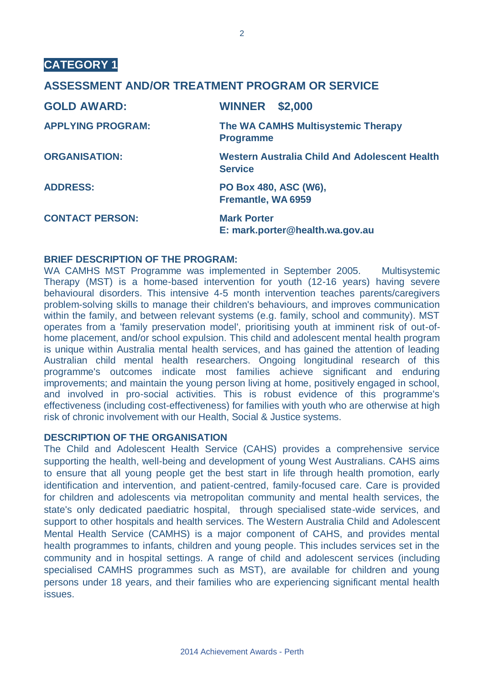#### **ASSESSMENT AND/OR TREATMENT PROGRAM OR SERVICE**

| <b>GOLD AWARD:</b>       | <b>WINNER</b><br>\$2,000                                               |
|--------------------------|------------------------------------------------------------------------|
| <b>APPLYING PROGRAM:</b> | The WA CAMHS Multisystemic Therapy<br><b>Programme</b>                 |
| <b>ORGANISATION:</b>     | <b>Western Australia Child And Adolescent Health</b><br><b>Service</b> |
| <b>ADDRESS:</b>          | PO Box 480, ASC (W6),<br>Fremantle, WA 6959                            |
| <b>CONTACT PERSON:</b>   | <b>Mark Porter</b><br>E: mark.porter@health.wa.gov.au                  |

#### **BRIEF DESCRIPTION OF THE PROGRAM:**

WA CAMHS MST Programme was implemented in September 2005. Multisystemic Therapy (MST) is a home-based intervention for youth (12-16 years) having severe behavioural disorders. This intensive 4-5 month intervention teaches parents/caregivers problem-solving skills to manage their children's behaviours, and improves communication within the family, and between relevant systems (e.g. family, school and community). MST operates from a 'family preservation model', prioritising youth at imminent risk of out-ofhome placement, and/or school expulsion. This child and adolescent mental health program is unique within Australia mental health services, and has gained the attention of leading Australian child mental health researchers. Ongoing longitudinal research of this programme's outcomes indicate most families achieve significant and enduring improvements; and maintain the young person living at home, positively engaged in school, and involved in pro-social activities. This is robust evidence of this programme's effectiveness (including cost-effectiveness) for families with youth who are otherwise at high risk of chronic involvement with our Health, Social & Justice systems.

#### **DESCRIPTION OF THE ORGANISATION**

The Child and Adolescent Health Service (CAHS) provides a comprehensive service supporting the health, well-being and development of young West Australians. CAHS aims to ensure that all young people get the best start in life through health promotion, early identification and intervention, and patient-centred, family-focused care. Care is provided for children and adolescents via metropolitan community and mental health services, the state's only dedicated paediatric hospital, through specialised state-wide services, and support to other hospitals and health services. The Western Australia Child and Adolescent Mental Health Service (CAMHS) is a major component of CAHS, and provides mental health programmes to infants, children and young people. This includes services set in the community and in hospital settings. A range of child and adolescent services (including specialised CAMHS programmes such as MST), are available for children and young persons under 18 years, and their families who are experiencing significant mental health issues.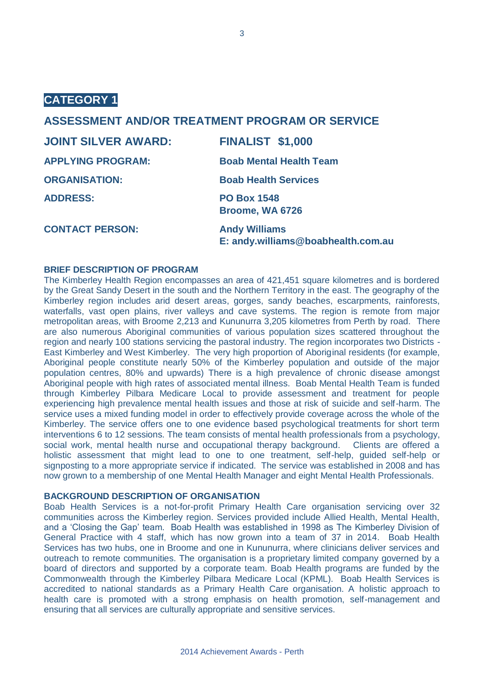#### **ASSESSMENT AND/OR TREATMENT PROGRAM OR SERVICE**

| <b>JOINT SILVER AWARD:</b> | <b>FINALIST \$1,000</b>                                    |
|----------------------------|------------------------------------------------------------|
| <b>APPLYING PROGRAM:</b>   | <b>Boab Mental Health Team</b>                             |
| <b>ORGANISATION:</b>       | <b>Boab Health Services</b>                                |
| <b>ADDRESS:</b>            | <b>PO Box 1548</b><br>Broome, WA 6726                      |
| <b>CONTACT PERSON:</b>     | <b>Andy Williams</b><br>E: andy.williams@boabhealth.com.au |

#### **BRIEF DESCRIPTION OF PROGRAM**

The Kimberley Health Region encompasses an area of 421,451 square kilometres and is bordered by the Great Sandy Desert in the south and the Northern Territory in the east. The geography of the Kimberley region includes arid desert areas, gorges, sandy beaches, escarpments, rainforests, waterfalls, vast open plains, river valleys and cave systems. The region is remote from major metropolitan areas, with Broome 2,213 and Kununurra 3,205 kilometres from Perth by road. There are also numerous Aboriginal communities of various population sizes scattered throughout the region and nearly 100 stations servicing the pastoral industry. The region incorporates two Districts - East Kimberley and West Kimberley. The very high proportion of Aboriginal residents (for example, Aboriginal people constitute nearly 50% of the Kimberley population and outside of the major population centres, 80% and upwards) There is a high prevalence of chronic disease amongst Aboriginal people with high rates of associated mental illness. Boab Mental Health Team is funded through Kimberley Pilbara Medicare Local to provide assessment and treatment for people experiencing high prevalence mental health issues and those at risk of suicide and self-harm. The service uses a mixed funding model in order to effectively provide coverage across the whole of the Kimberley. The service offers one to one evidence based psychological treatments for short term interventions 6 to 12 sessions. The team consists of mental health professionals from a psychology, social work, mental health nurse and occupational therapy background. Clients are offered a holistic assessment that might lead to one to one treatment, self-help, guided self-help or signposting to a more appropriate service if indicated. The service was established in 2008 and has now grown to a membership of one Mental Health Manager and eight Mental Health Professionals.

#### **BACKGROUND DESCRIPTION OF ORGANISATION**

Boab Health Services is a not-for-profit Primary Health Care organisation servicing over 32 communities across the Kimberley region. Services provided include Allied Health, Mental Health, and a 'Closing the Gap' team. Boab Health was established in 1998 as The Kimberley Division of General Practice with 4 staff, which has now grown into a team of 37 in 2014. Boab Health Services has two hubs, one in Broome and one in Kununurra, where clinicians deliver services and outreach to remote communities. The organisation is a proprietary limited company governed by a board of directors and supported by a corporate team. Boab Health programs are funded by the Commonwealth through the Kimberley Pilbara Medicare Local (KPML). Boab Health Services is accredited to national standards as a Primary Health Care organisation. A holistic approach to health care is promoted with a strong emphasis on health promotion, self-management and ensuring that all services are culturally appropriate and sensitive services.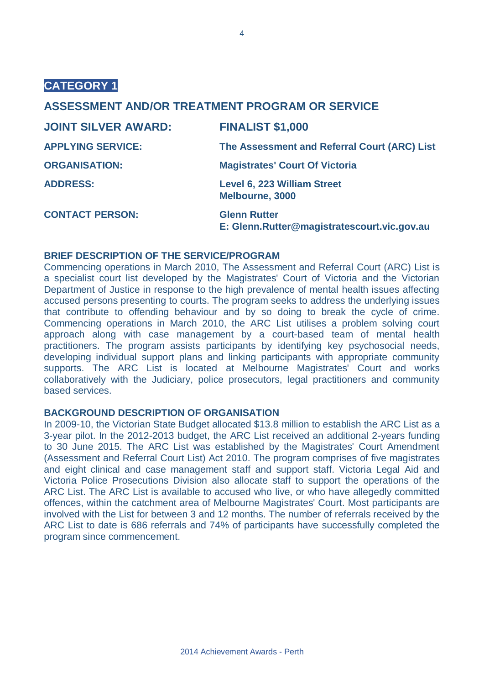#### **ASSESSMENT AND/OR TREATMENT PROGRAM OR SERVICE**

| <b>JOINT SILVER AWARD:</b> | <b>FINALIST \$1,000</b>                                            |
|----------------------------|--------------------------------------------------------------------|
| <b>APPLYING SERVICE:</b>   | The Assessment and Referral Court (ARC) List                       |
| <b>ORGANISATION:</b>       | <b>Magistrates' Court Of Victoria</b>                              |
| <b>ADDRESS:</b>            | Level 6, 223 William Street<br>Melbourne, 3000                     |
| <b>CONTACT PERSON:</b>     | <b>Glenn Rutter</b><br>E: Glenn.Rutter@magistratescourt.vic.gov.au |

#### **BRIEF DESCRIPTION OF THE SERVICE/PROGRAM**

Commencing operations in March 2010, The Assessment and Referral Court (ARC) List is a specialist court list developed by the Magistrates' Court of Victoria and the Victorian Department of Justice in response to the high prevalence of mental health issues affecting accused persons presenting to courts. The program seeks to address the underlying issues that contribute to offending behaviour and by so doing to break the cycle of crime. Commencing operations in March 2010, the ARC List utilises a problem solving court approach along with case management by a court-based team of mental health practitioners. The program assists participants by identifying key psychosocial needs, developing individual support plans and linking participants with appropriate community supports. The ARC List is located at Melbourne Magistrates' Court and works collaboratively with the Judiciary, police prosecutors, legal practitioners and community based services.

#### **BACKGROUND DESCRIPTION OF ORGANISATION**

In 2009-10, the Victorian State Budget allocated \$13.8 million to establish the ARC List as a 3-year pilot. In the 2012-2013 budget, the ARC List received an additional 2-years funding to 30 June 2015. The ARC List was established by the Magistrates' Court Amendment (Assessment and Referral Court List) Act 2010. The program comprises of five magistrates and eight clinical and case management staff and support staff. Victoria Legal Aid and Victoria Police Prosecutions Division also allocate staff to support the operations of the ARC List. The ARC List is available to accused who live, or who have allegedly committed offences, within the catchment area of Melbourne Magistrates' Court. Most participants are involved with the List for between 3 and 12 months. The number of referrals received by the ARC List to date is 686 referrals and 74% of participants have successfully completed the program since commencement.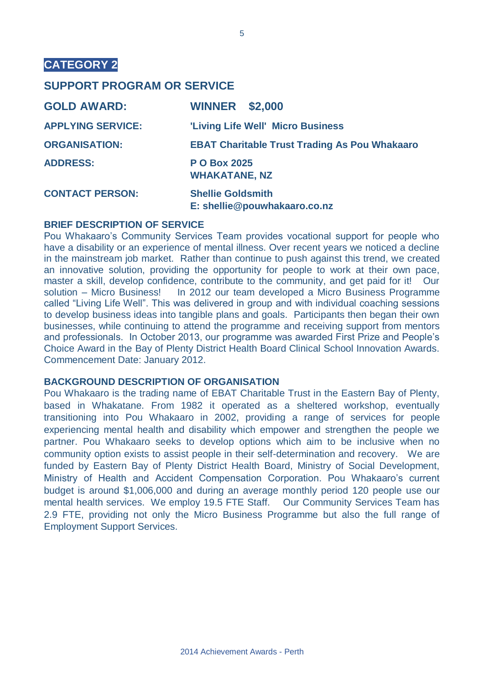#### **SUPPORT PROGRAM OR SERVICE**

| <b>GOLD AWARD:</b>       | <b>WINNER \$2,000</b>                                    |
|--------------------------|----------------------------------------------------------|
| <b>APPLYING SERVICE:</b> | 'Living Life Well' Micro Business                        |
| <b>ORGANISATION:</b>     | <b>EBAT Charitable Trust Trading As Pou Whakaaro</b>     |
| <b>ADDRESS:</b>          | <b>PO Box 2025</b><br><b>WHAKATANE, NZ</b>               |
| <b>CONTACT PERSON:</b>   | <b>Shellie Goldsmith</b><br>E: shellie@pouwhakaaro.co.nz |

#### **BRIEF DESCRIPTION OF SERVICE**

Pou Whakaaro's Community Services Team provides vocational support for people who have a disability or an experience of mental illness. Over recent years we noticed a decline in the mainstream job market. Rather than continue to push against this trend, we created an innovative solution, providing the opportunity for people to work at their own pace, master a skill, develop confidence, contribute to the community, and get paid for it! Our solution – Micro Business! In 2012 our team developed a Micro Business Programme called "Living Life Well". This was delivered in group and with individual coaching sessions to develop business ideas into tangible plans and goals. Participants then began their own businesses, while continuing to attend the programme and receiving support from mentors and professionals. In October 2013, our programme was awarded First Prize and People's Choice Award in the Bay of Plenty District Health Board Clinical School Innovation Awards. Commencement Date: January 2012.

#### **BACKGROUND DESCRIPTION OF ORGANISATION**

Pou Whakaaro is the trading name of EBAT Charitable Trust in the Eastern Bay of Plenty, based in Whakatane. From 1982 it operated as a sheltered workshop, eventually transitioning into Pou Whakaaro in 2002, providing a range of services for people experiencing mental health and disability which empower and strengthen the people we partner. Pou Whakaaro seeks to develop options which aim to be inclusive when no community option exists to assist people in their self-determination and recovery. We are funded by Eastern Bay of Plenty District Health Board, Ministry of Social Development, Ministry of Health and Accident Compensation Corporation. Pou Whakaaro's current budget is around \$1,006,000 and during an average monthly period 120 people use our mental health services. We employ 19.5 FTE Staff. Our Community Services Team has 2.9 FTE, providing not only the Micro Business Programme but also the full range of Employment Support Services.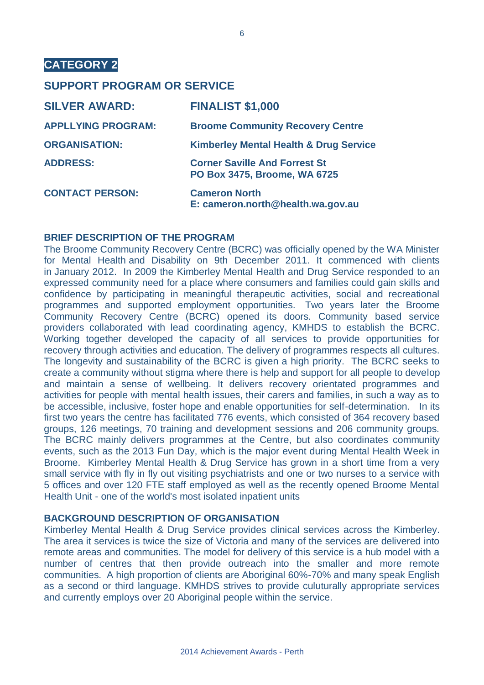#### **SUPPORT PROGRAM OR SERVICE**

| <b>SILVER AWARD:</b>      | <b>FINALIST \$1,000</b>                                              |
|---------------------------|----------------------------------------------------------------------|
| <b>APPLLYING PROGRAM:</b> | <b>Broome Community Recovery Centre</b>                              |
| <b>ORGANISATION:</b>      | <b>Kimberley Mental Health &amp; Drug Service</b>                    |
| <b>ADDRESS:</b>           | <b>Corner Saville And Forrest St</b><br>PO Box 3475, Broome, WA 6725 |
| <b>CONTACT PERSON:</b>    | <b>Cameron North</b><br>E: cameron.north@health.wa.gov.au            |

#### **BRIEF DESCRIPTION OF THE PROGRAM**

The Broome Community Recovery Centre (BCRC) was officially opened by the WA Minister for Mental Health and Disability on 9th December 2011. It commenced with clients in January 2012. In 2009 the Kimberley Mental Health and Drug Service responded to an expressed community need for a place where consumers and families could gain skills and confidence by participating in meaningful therapeutic activities, social and recreational programmes and supported employment opportunities. Two years later the Broome Community Recovery Centre (BCRC) opened its doors. Community based service providers collaborated with lead coordinating agency, KMHDS to establish the BCRC. Working together developed the capacity of all services to provide opportunities for recovery through activities and education. The delivery of programmes respects all cultures. The longevity and sustainability of the BCRC is given a high priority. The BCRC seeks to create a community without stigma where there is help and support for all people to develop and maintain a sense of wellbeing. It delivers recovery orientated programmes and activities for people with mental health issues, their carers and families, in such a way as to be accessible, inclusive, foster hope and enable opportunities for self-determination. In its first two years the centre has facilitated 776 events, which consisted of 364 recovery based groups, 126 meetings, 70 training and development sessions and 206 community groups. The BCRC mainly delivers programmes at the Centre, but also coordinates community events, such as the 2013 Fun Day, which is the major event during Mental Health Week in Broome. Kimberley Mental Health & Drug Service has grown in a short time from a very small service with fly in fly out visiting psychiatrists and one or two nurses to a service with 5 offices and over 120 FTE staff employed as well as the recently opened Broome Mental Health Unit - one of the world's most isolated inpatient units

#### **BACKGROUND DESCRIPTION OF ORGANISATION**

Kimberley Mental Health & Drug Service provides clinical services across the Kimberley. The area it services is twice the size of Victoria and many of the services are delivered into remote areas and communities. The model for delivery of this service is a hub model with a number of centres that then provide outreach into the smaller and more remote communities. A high proportion of clients are Aboriginal 60%-70% and many speak English as a second or third language. KMHDS strives to provide culuturally appropriate services and currently employs over 20 Aboriginal people within the service.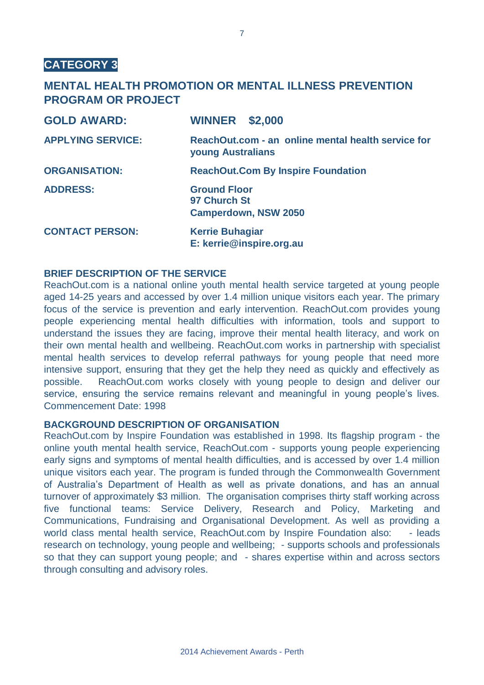#### **MENTAL HEALTH PROMOTION OR MENTAL ILLNESS PREVENTION PROGRAM OR PROJECT**

| <b>GOLD AWARD:</b>       | <b>WINNER \$2,000</b>                                                          |
|--------------------------|--------------------------------------------------------------------------------|
| <b>APPLYING SERVICE:</b> | ReachOut.com - an online mental health service for<br><b>young Australians</b> |
| <b>ORGANISATION:</b>     | <b>ReachOut.Com By Inspire Foundation</b>                                      |
| <b>ADDRESS:</b>          | <b>Ground Floor</b><br>97 Church St<br><b>Camperdown, NSW 2050</b>             |
| <b>CONTACT PERSON:</b>   | <b>Kerrie Buhagiar</b><br>E: kerrie@inspire.org.au                             |

#### **BRIEF DESCRIPTION OF THE SERVICE**

ReachOut.com is a national online youth mental health service targeted at young people aged 14-25 years and accessed by over 1.4 million unique visitors each year. The primary focus of the service is prevention and early intervention. ReachOut.com provides young people experiencing mental health difficulties with information, tools and support to understand the issues they are facing, improve their mental health literacy, and work on their own mental health and wellbeing. ReachOut.com works in partnership with specialist mental health services to develop referral pathways for young people that need more intensive support, ensuring that they get the help they need as quickly and effectively as possible. ReachOut.com works closely with young people to design and deliver our service, ensuring the service remains relevant and meaningful in young people's lives. Commencement Date: 1998

#### **BACKGROUND DESCRIPTION OF ORGANISATION**

ReachOut.com by Inspire Foundation was established in 1998. Its flagship program - the online youth mental health service, ReachOut.com - supports young people experiencing early signs and symptoms of mental health difficulties, and is accessed by over 1.4 million unique visitors each year. The program is funded through the Commonwealth Government of Australia's Department of Health as well as private donations, and has an annual turnover of approximately \$3 million. The organisation comprises thirty staff working across five functional teams: Service Delivery, Research and Policy, Marketing and Communications, Fundraising and Organisational Development. As well as providing a world class mental health service, ReachOut.com by Inspire Foundation also: - leads research on technology, young people and wellbeing; - supports schools and professionals so that they can support young people; and - shares expertise within and across sectors through consulting and advisory roles.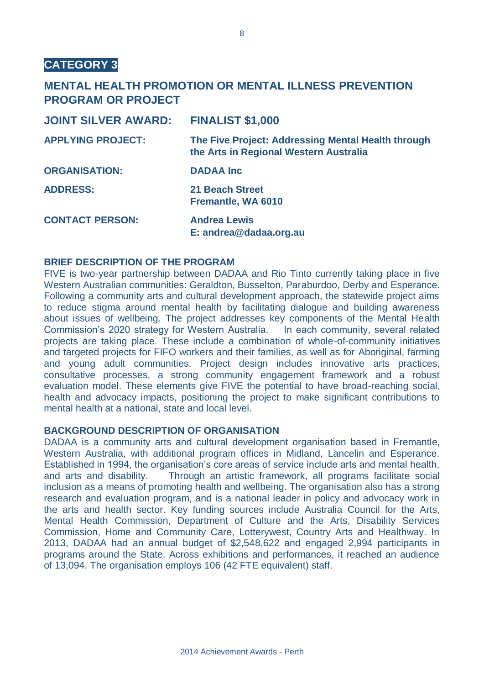#### **MENTAL HEALTH PROMOTION OR MENTAL ILLNESS PREVENTION PROGRAM OR PROJECT**

| <b>JOINT SILVER AWARD:</b> | <b>FINALIST \$1,000</b>                                                                      |
|----------------------------|----------------------------------------------------------------------------------------------|
| <b>APPLYING PROJECT:</b>   | The Five Project: Addressing Mental Health through<br>the Arts in Regional Western Australia |
| <b>ORGANISATION:</b>       | <b>DADAA Inc</b>                                                                             |
| <b>ADDRESS:</b>            | <b>21 Beach Street</b><br>Fremantle, WA 6010                                                 |
| <b>CONTACT PERSON:</b>     | <b>Andrea Lewis</b><br>E: andrea@dadaa.org.au                                                |

#### **BRIEF DESCRIPTION OF THE PROGRAM**

FIVE is two-year partnership between DADAA and Rio Tinto currently taking place in five Western Australian communities: Geraldton, Busselton, Paraburdoo, Derby and Esperance. Following a community arts and cultural development approach, the statewide project aims to reduce stigma around mental health by facilitating dialogue and building awareness about issues of wellbeing. The project addresses key components of the Mental Health Commission's 2020 strategy for Western Australia. In each community, several related projects are taking place. These include a combination of whole-of-community initiatives and targeted projects for FIFO workers and their families, as well as for Aboriginal, farming and young adult communities. Project design includes innovative arts practices, consultative processes, a strong community engagement framework and a robust evaluation model. These elements give FIVE the potential to have broad-reaching social, health and advocacy impacts, positioning the project to make significant contributions to mental health at a national, state and local level.

#### **BACKGROUND DESCRIPTION OF ORGANISATION**

DADAA is a community arts and cultural development organisation based in Fremantle, Western Australia, with additional program offices in Midland, Lancelin and Esperance. Established in 1994, the organisation's core areas of service include arts and mental health, and arts and disability. Through an artistic framework, all programs facilitate social inclusion as a means of promoting health and wellbeing. The organisation also has a strong research and evaluation program, and is a national leader in policy and advocacy work in the arts and health sector. Key funding sources include Australia Council for the Arts, Mental Health Commission, Department of Culture and the Arts, Disability Services Commission, Home and Community Care, Lotterywest, Country Arts and Healthway. In 2013, DADAA had an annual budget of \$2,548,622 and engaged 2,994 participants in programs around the State. Across exhibitions and performances, it reached an audience of 13,094. The organisation employs 106 (42 FTE equivalent) staff.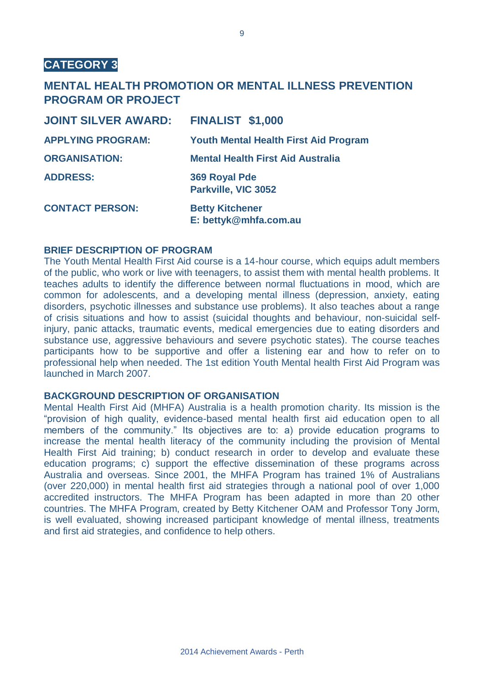#### **MENTAL HEALTH PROMOTION OR MENTAL ILLNESS PREVENTION PROGRAM OR PROJECT**

| <b>JOINT SILVER AWARD:</b> | <b>FINALIST \$1,000</b>                         |
|----------------------------|-------------------------------------------------|
| <b>APPLYING PROGRAM:</b>   | <b>Youth Mental Health First Aid Program</b>    |
| <b>ORGANISATION:</b>       | <b>Mental Health First Aid Australia</b>        |
| <b>ADDRESS:</b>            | 369 Royal Pde<br>Parkville, VIC 3052            |
| <b>CONTACT PERSON:</b>     | <b>Betty Kitchener</b><br>E: bettyk@mhfa.com.au |

#### **BRIEF DESCRIPTION OF PROGRAM**

The Youth Mental Health First Aid course is a 14-hour course, which equips adult members of the public, who work or live with teenagers, to assist them with mental health problems. It teaches adults to identify the difference between normal fluctuations in mood, which are common for adolescents, and a developing mental illness (depression, anxiety, eating disorders, psychotic illnesses and substance use problems). It also teaches about a range of crisis situations and how to assist (suicidal thoughts and behaviour, non-suicidal selfinjury, panic attacks, traumatic events, medical emergencies due to eating disorders and substance use, aggressive behaviours and severe psychotic states). The course teaches participants how to be supportive and offer a listening ear and how to refer on to professional help when needed. The 1st edition Youth Mental health First Aid Program was launched in March 2007.

#### **BACKGROUND DESCRIPTION OF ORGANISATION**

Mental Health First Aid (MHFA) Australia is a health promotion charity. Its mission is the "provision of high quality, evidence-based mental health first aid education open to all members of the community." Its objectives are to: a) provide education programs to increase the mental health literacy of the community including the provision of Mental Health First Aid training; b) conduct research in order to develop and evaluate these education programs; c) support the effective dissemination of these programs across Australia and overseas. Since 2001, the MHFA Program has trained 1% of Australians (over 220,000) in mental health first aid strategies through a national pool of over 1,000 accredited instructors. The MHFA Program has been adapted in more than 20 other countries. The MHFA Program, created by Betty Kitchener OAM and Professor Tony Jorm, is well evaluated, showing increased participant knowledge of mental illness, treatments and first aid strategies, and confidence to help others.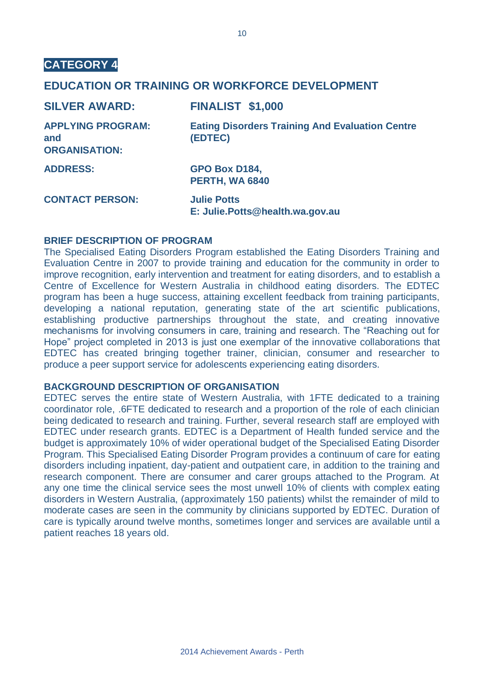#### **EDUCATION OR TRAINING OR WORKFORCE DEVELOPMENT**

| <b>SILVER AWARD:</b>                                    | <b>FINALIST \$1,000</b>                                           |
|---------------------------------------------------------|-------------------------------------------------------------------|
| <b>APPLYING PROGRAM:</b><br>and<br><b>ORGANISATION:</b> | <b>Eating Disorders Training And Evaluation Centre</b><br>(EDTEC) |
| <b>ADDRESS:</b>                                         | GPO Box D184,<br>PERTH, WA 6840                                   |
| <b>CONTACT PERSON:</b>                                  | <b>Julie Potts</b><br>E: Julie.Potts@health.wa.gov.au             |

#### **BRIEF DESCRIPTION OF PROGRAM**

The Specialised Eating Disorders Program established the Eating Disorders Training and Evaluation Centre in 2007 to provide training and education for the community in order to improve recognition, early intervention and treatment for eating disorders, and to establish a Centre of Excellence for Western Australia in childhood eating disorders. The EDTEC program has been a huge success, attaining excellent feedback from training participants, developing a national reputation, generating state of the art scientific publications, establishing productive partnerships throughout the state, and creating innovative mechanisms for involving consumers in care, training and research. The "Reaching out for Hope" project completed in 2013 is just one exemplar of the innovative collaborations that EDTEC has created bringing together trainer, clinician, consumer and researcher to produce a peer support service for adolescents experiencing eating disorders.

#### **BACKGROUND DESCRIPTION OF ORGANISATION**

EDTEC serves the entire state of Western Australia, with 1FTE dedicated to a training coordinator role, .6FTE dedicated to research and a proportion of the role of each clinician being dedicated to research and training. Further, several research staff are employed with EDTEC under research grants. EDTEC is a Department of Health funded service and the budget is approximately 10% of wider operational budget of the Specialised Eating Disorder Program. This Specialised Eating Disorder Program provides a continuum of care for eating disorders including inpatient, day-patient and outpatient care, in addition to the training and research component. There are consumer and carer groups attached to the Program. At any one time the clinical service sees the most unwell 10% of clients with complex eating disorders in Western Australia, (approximately 150 patients) whilst the remainder of mild to moderate cases are seen in the community by clinicians supported by EDTEC. Duration of care is typically around twelve months, sometimes longer and services are available until a patient reaches 18 years old.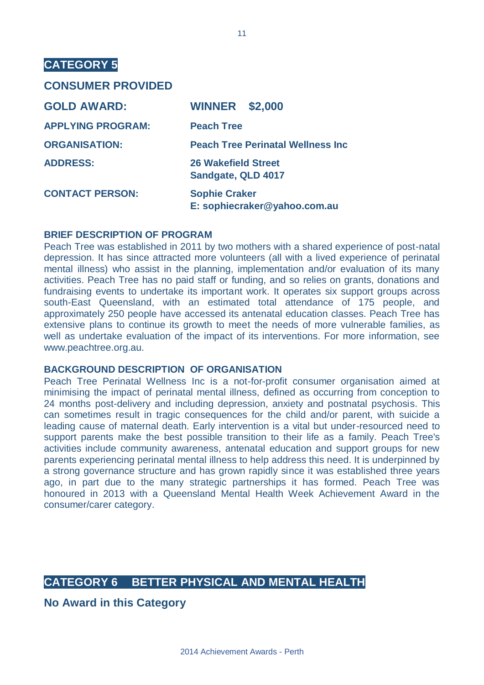#### **CONSUMER PROVIDED**

| <b>GOLD AWARD:</b>       | <b>WINNER \$2,000</b>                                |
|--------------------------|------------------------------------------------------|
| <b>APPLYING PROGRAM:</b> | <b>Peach Tree</b>                                    |
| <b>ORGANISATION:</b>     | <b>Peach Tree Perinatal Wellness Inc</b>             |
| <b>ADDRESS:</b>          | <b>26 Wakefield Street</b><br>Sandgate, QLD 4017     |
| <b>CONTACT PERSON:</b>   | <b>Sophie Craker</b><br>E: sophiecraker@yahoo.com.au |

#### **BRIEF DESCRIPTION OF PROGRAM**

Peach Tree was established in 2011 by two mothers with a shared experience of post-natal depression. It has since attracted more volunteers (all with a lived experience of perinatal mental illness) who assist in the planning, implementation and/or evaluation of its many activities. Peach Tree has no paid staff or funding, and so relies on grants, donations and fundraising events to undertake its important work. It operates six support groups across south-East Queensland, with an estimated total attendance of 175 people, and approximately 250 people have accessed its antenatal education classes. Peach Tree has extensive plans to continue its growth to meet the needs of more vulnerable families, as well as undertake evaluation of the impact of its interventions. For more information, see www.peachtree.org.au.

#### **BACKGROUND DESCRIPTION OF ORGANISATION**

Peach Tree Perinatal Wellness Inc is a not-for-profit consumer organisation aimed at minimising the impact of perinatal mental illness, defined as occurring from conception to 24 months post-delivery and including depression, anxiety and postnatal psychosis. This can sometimes result in tragic consequences for the child and/or parent, with suicide a leading cause of maternal death. Early intervention is a vital but under-resourced need to support parents make the best possible transition to their life as a family. Peach Tree's activities include community awareness, antenatal education and support groups for new parents experiencing perinatal mental illness to help address this need. It is underpinned by a strong governance structure and has grown rapidly since it was established three years ago, in part due to the many strategic partnerships it has formed. Peach Tree was honoured in 2013 with a Queensland Mental Health Week Achievement Award in the consumer/carer category.

#### **CATEGORY 6 BETTER PHYSICAL AND MENTAL HEALTH**

**No Award in this Category**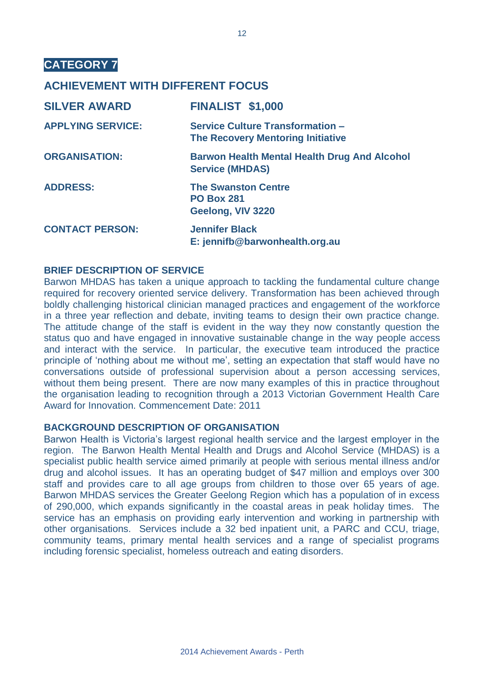#### **ACHIEVEMENT WITH DIFFERENT FOCUS**

| <b>SILVER AWARD</b>      | <b>FINALIST \$1,000</b>                                                             |
|--------------------------|-------------------------------------------------------------------------------------|
| <b>APPLYING SERVICE:</b> | <b>Service Culture Transformation -</b><br><b>The Recovery Mentoring Initiative</b> |
| <b>ORGANISATION:</b>     | <b>Barwon Health Mental Health Drug And Alcohol</b><br><b>Service (MHDAS)</b>       |
| <b>ADDRESS:</b>          | <b>The Swanston Centre</b><br><b>PO Box 281</b><br>Geelong, VIV 3220                |
| <b>CONTACT PERSON:</b>   | <b>Jennifer Black</b><br>E: jennifb@barwonhealth.org.au                             |

#### **BRIEF DESCRIPTION OF SERVICE**

Barwon MHDAS has taken a unique approach to tackling the fundamental culture change required for recovery oriented service delivery. Transformation has been achieved through boldly challenging historical clinician managed practices and engagement of the workforce in a three year reflection and debate, inviting teams to design their own practice change. The attitude change of the staff is evident in the way they now constantly question the status quo and have engaged in innovative sustainable change in the way people access and interact with the service. In particular, the executive team introduced the practice principle of 'nothing about me without me', setting an expectation that staff would have no conversations outside of professional supervision about a person accessing services, without them being present. There are now many examples of this in practice throughout the organisation leading to recognition through a 2013 Victorian Government Health Care Award for Innovation. Commencement Date: 2011

#### **BACKGROUND DESCRIPTION OF ORGANISATION**

Barwon Health is Victoria's largest regional health service and the largest employer in the region. The Barwon Health Mental Health and Drugs and Alcohol Service (MHDAS) is a specialist public health service aimed primarily at people with serious mental illness and/or drug and alcohol issues. It has an operating budget of \$47 million and employs over 300 staff and provides care to all age groups from children to those over 65 years of age. Barwon MHDAS services the Greater Geelong Region which has a population of in excess of 290,000, which expands significantly in the coastal areas in peak holiday times. The service has an emphasis on providing early intervention and working in partnership with other organisations. Services include a 32 bed inpatient unit, a PARC and CCU, triage, community teams, primary mental health services and a range of specialist programs including forensic specialist, homeless outreach and eating disorders.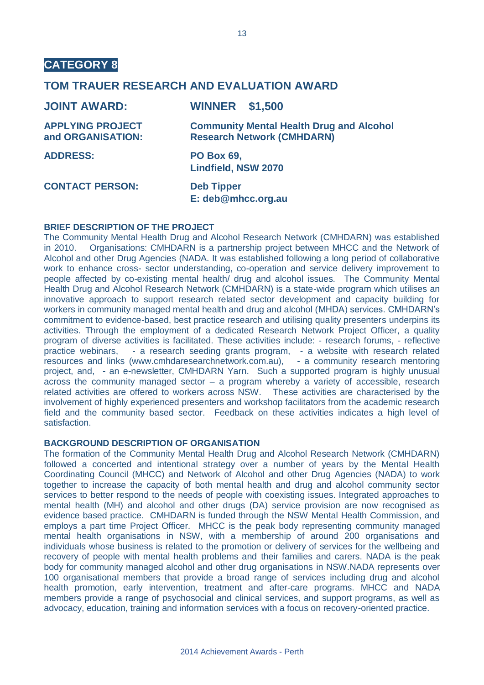#### **TOM TRAUER RESEARCH AND EVALUATION AWARD**

| <b>JOINT AWARD:</b>                          | <b>WINNER \$1,500</b>                                                                |
|----------------------------------------------|--------------------------------------------------------------------------------------|
| <b>APPLYING PROJECT</b><br>and ORGANISATION: | <b>Community Mental Health Drug and Alcohol</b><br><b>Research Network (CMHDARN)</b> |
| <b>ADDRESS:</b>                              | <b>PO Box 69,</b><br><b>Lindfield, NSW 2070</b>                                      |
| <b>CONTACT PERSON:</b>                       | <b>Deb Tipper</b><br>E: deb@mhcc.org.au                                              |

#### **BRIEF DESCRIPTION OF THE PROJECT**

The Community Mental Health Drug and Alcohol Research Network (CMHDARN) was established in 2010. Organisations: CMHDARN is a partnership project between MHCC and the Network of Alcohol and other Drug Agencies (NADA. It was established following a long period of collaborative work to enhance cross- sector understanding, co-operation and service delivery improvement to people affected by co-existing mental health/ drug and alcohol issues. The Community Mental Health Drug and Alcohol Research Network (CMHDARN) is a state-wide program which utilises an innovative approach to support research related sector development and capacity building for workers in community managed mental health and drug and alcohol (MHDA) services. CMHDARN's commitment to evidence-based, best practice research and utilising quality presenters underpins its activities. Through the employment of a dedicated Research Network Project Officer, a quality program of diverse activities is facilitated. These activities include: - research forums, - reflective practice webinars, - a research seeding grants program, - a website with research related resources and links (www.cmhdaresearchnetwork.com.au), - a community research mentoring project, and, - an e-newsletter, CMHDARN Yarn. Such a supported program is highly unusual across the community managed sector  $-$  a program whereby a variety of accessible, research related activities are offered to workers across NSW. These activities are characterised by the involvement of highly experienced presenters and workshop facilitators from the academic research field and the community based sector. Feedback on these activities indicates a high level of satisfaction.

#### **BACKGROUND DESCRIPTION OF ORGANISATION**

The formation of the Community Mental Health Drug and Alcohol Research Network (CMHDARN) followed a concerted and intentional strategy over a number of years by the Mental Health Coordinating Council (MHCC) and Network of Alcohol and other Drug Agencies (NADA) to work together to increase the capacity of both mental health and drug and alcohol community sector services to better respond to the needs of people with coexisting issues. Integrated approaches to mental health (MH) and alcohol and other drugs (DA) service provision are now recognised as evidence based practice. CMHDARN is funded through the NSW Mental Health Commission, and employs a part time Project Officer. MHCC is the peak body representing community managed mental health organisations in NSW, with a membership of around 200 organisations and individuals whose business is related to the promotion or delivery of services for the wellbeing and recovery of people with mental health problems and their families and carers. NADA is the peak body for community managed alcohol and other drug organisations in NSW.NADA represents over 100 organisational members that provide a broad range of services including drug and alcohol health promotion, early intervention, treatment and after-care programs. MHCC and NADA members provide a range of psychosocial and clinical services, and support programs, as well as advocacy, education, training and information services with a focus on recovery-oriented practice.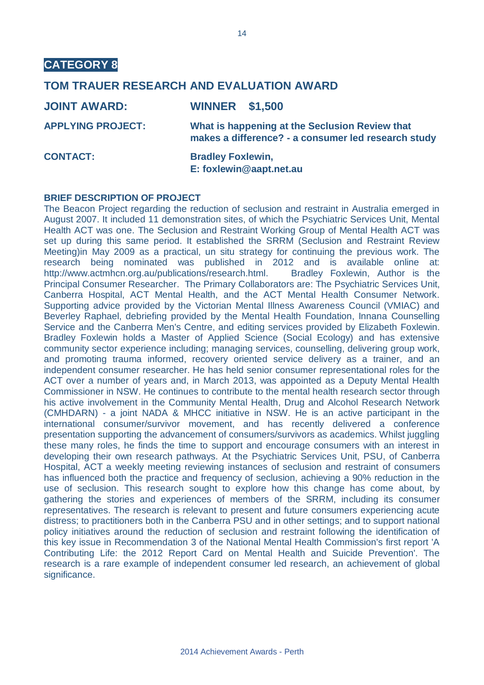#### **TOM TRAUER RESEARCH AND EVALUATION AWARD**

| <b>JOINT AWARD:</b>      | <b>WINNER \$1,500</b>                                                                                 |
|--------------------------|-------------------------------------------------------------------------------------------------------|
| <b>APPLYING PROJECT:</b> | What is happening at the Seclusion Review that<br>makes a difference? - a consumer led research study |
| <b>CONTACT:</b>          | <b>Bradley Foxlewin,</b><br>E: foxlewin@aapt.net.au                                                   |

#### **BRIEF DESCRIPTION OF PROJECT**

The Beacon Project regarding the reduction of seclusion and restraint in Australia emerged in August 2007. It included 11 demonstration sites, of which the Psychiatric Services Unit, Mental Health ACT was one. The Seclusion and Restraint Working Group of Mental Health ACT was set up during this same period. It established the SRRM (Seclusion and Restraint Review Meeting)in May 2009 as a practical, un situ strategy for continuing the previous work. The research being nominated was published in 2012 and is available online at: http://www.actmhcn.org.au/publications/research.html. Bradley Foxlewin, Author is the Principal Consumer Researcher. The Primary Collaborators are: The Psychiatric Services Unit, Canberra Hospital, ACT Mental Health, and the ACT Mental Health Consumer Network. Supporting advice provided by the Victorian Mental Illness Awareness Council (VMIAC) and Beverley Raphael, debriefing provided by the Mental Health Foundation, Innana Counselling Service and the Canberra Men's Centre, and editing services provided by Elizabeth Foxlewin. Bradley Foxlewin holds a Master of Applied Science (Social Ecology) and has extensive community sector experience including; managing services, counselling, delivering group work, and promoting trauma informed, recovery oriented service delivery as a trainer, and an independent consumer researcher. He has held senior consumer representational roles for the ACT over a number of years and, in March 2013, was appointed as a Deputy Mental Health Commissioner in NSW. He continues to contribute to the mental health research sector through his active involvement in the Community Mental Health, Drug and Alcohol Research Network (CMHDARN) - a joint NADA & MHCC initiative in NSW. He is an active participant in the international consumer/survivor movement, and has recently delivered a conference presentation supporting the advancement of consumers/survivors as academics. Whilst juggling these many roles, he finds the time to support and encourage consumers with an interest in developing their own research pathways. At the Psychiatric Services Unit, PSU, of Canberra Hospital, ACT a weekly meeting reviewing instances of seclusion and restraint of consumers has influenced both the practice and frequency of seclusion, achieving a 90% reduction in the use of seclusion. This research sought to explore how this change has come about, by gathering the stories and experiences of members of the SRRM, including its consumer representatives. The research is relevant to present and future consumers experiencing acute distress; to practitioners both in the Canberra PSU and in other settings; and to support national policy initiatives around the reduction of seclusion and restraint following the identification of this key issue in Recommendation 3 of the National Mental Health Commission's first report 'A Contributing Life: the 2012 Report Card on Mental Health and Suicide Prevention'. The research is a rare example of independent consumer led research, an achievement of global significance.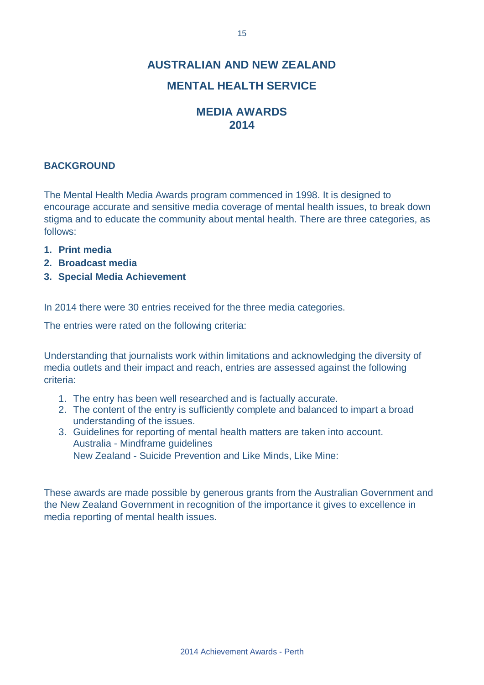### **AUSTRALIAN AND NEW ZEALAND**

#### **MENTAL HEALTH SERVICE**

#### **MEDIA AWARDS 2014**

#### **BACKGROUND**

The Mental Health Media Awards program commenced in 1998. It is designed to encourage accurate and sensitive media coverage of mental health issues, to break down stigma and to educate the community about mental health. There are three categories, as follows:

- **1. Print media**
- **2. Broadcast media**
- **3. Special Media Achievement**

In 2014 there were 30 entries received for the three media categories.

The entries were rated on the following criteria:

Understanding that journalists work within limitations and acknowledging the diversity of media outlets and their impact and reach, entries are assessed against the following criteria:

- 1. The entry has been well researched and is factually accurate.
- 2. The content of the entry is sufficiently complete and balanced to impart a broad understanding of the issues.
- 3. Guidelines for reporting of mental health matters are taken into account. Australia - Mindframe guidelines New Zealand - Suicide Prevention and Like Minds, Like Mine:

These awards are made possible by generous grants from the Australian Government and the New Zealand Government in recognition of the importance it gives to excellence in media reporting of mental health issues.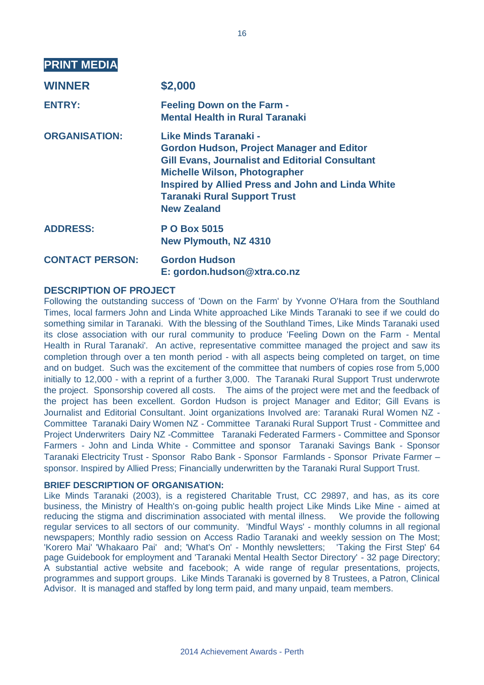| <b>PRINT MEDIA</b>     |                                                                                                                                                                                                                                                                                                      |
|------------------------|------------------------------------------------------------------------------------------------------------------------------------------------------------------------------------------------------------------------------------------------------------------------------------------------------|
| <b>WINNER</b>          | \$2,000                                                                                                                                                                                                                                                                                              |
| <b>ENTRY:</b>          | <b>Feeling Down on the Farm -</b><br><b>Mental Health in Rural Taranaki</b>                                                                                                                                                                                                                          |
| <b>ORGANISATION:</b>   | Like Minds Taranaki -<br><b>Gordon Hudson, Project Manager and Editor</b><br><b>Gill Evans, Journalist and Editorial Consultant</b><br><b>Michelle Wilson, Photographer</b><br><b>Inspired by Allied Press and John and Linda White</b><br><b>Taranaki Rural Support Trust</b><br><b>New Zealand</b> |
| <b>ADDRESS:</b>        | <b>PO Box 5015</b><br><b>New Plymouth, NZ 4310</b>                                                                                                                                                                                                                                                   |
| <b>CONTACT PERSON:</b> | <b>Gordon Hudson</b><br>E: gordon.hudson@xtra.co.nz                                                                                                                                                                                                                                                  |

#### **DESCRIPTION OF PROJECT**

Following the outstanding success of 'Down on the Farm' by Yvonne O'Hara from the Southland Times, local farmers John and Linda White approached Like Minds Taranaki to see if we could do something similar in Taranaki. With the blessing of the Southland Times, Like Minds Taranaki used its close association with our rural community to produce 'Feeling Down on the Farm - Mental Health in Rural Taranaki'. An active, representative committee managed the project and saw its completion through over a ten month period - with all aspects being completed on target, on time and on budget. Such was the excitement of the committee that numbers of copies rose from 5,000 initially to 12,000 - with a reprint of a further 3,000. The Taranaki Rural Support Trust underwrote the project. Sponsorship covered all costs. The aims of the project were met and the feedback of the project has been excellent. Gordon Hudson is project Manager and Editor; Gill Evans is Journalist and Editorial Consultant. Joint organizations Involved are: Taranaki Rural Women NZ - Committee Taranaki Dairy Women NZ - Committee Taranaki Rural Support Trust - Committee and Project Underwriters Dairy NZ -Committee Taranaki Federated Farmers - Committee and Sponsor Farmers - John and Linda White - Committee and sponsor Taranaki Savings Bank - Sponsor Taranaki Electricity Trust - Sponsor Rabo Bank - Sponsor Farmlands - Sponsor Private Farmer – sponsor. Inspired by Allied Press; Financially underwritten by the Taranaki Rural Support Trust.

#### **BRIEF DESCRIPTION OF ORGANISATION:**

Like Minds Taranaki (2003), is a registered Charitable Trust, CC 29897, and has, as its core business, the Ministry of Health's on-going public health project Like Minds Like Mine - aimed at reducing the stigma and discrimination associated with mental illness. We provide the following regular services to all sectors of our community. 'Mindful Ways' - monthly columns in all regional newspapers; Monthly radio session on Access Radio Taranaki and weekly session on The Most; 'Korero Mai' 'Whakaaro Pai' and; 'What's On' - Monthly newsletters; 'Taking the First Step' 64 page Guidebook for employment and 'Taranaki Mental Health Sector Directory' - 32 page Directory; A substantial active website and facebook; A wide range of regular presentations, projects, programmes and support groups. Like Minds Taranaki is governed by 8 Trustees, a Patron, Clinical Advisor. It is managed and staffed by long term paid, and many unpaid, team members.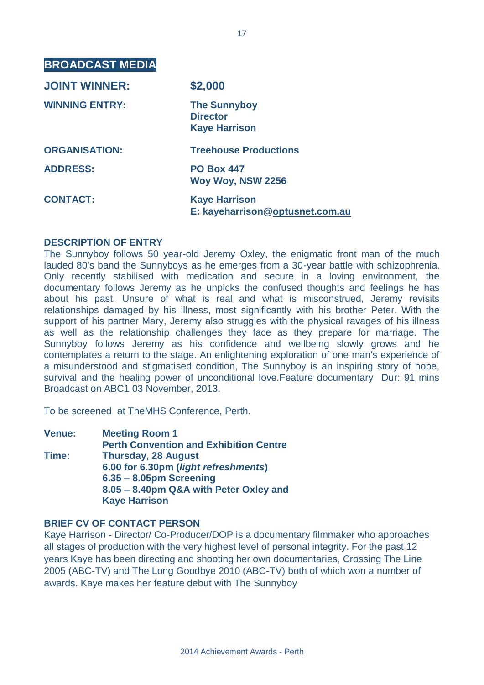**BROADCAST MEDIA**

| <b>JOINT WINNER:</b>  | \$2,000                                                        |
|-----------------------|----------------------------------------------------------------|
| <b>WINNING ENTRY:</b> | <b>The Sunnyboy</b><br><b>Director</b><br><b>Kaye Harrison</b> |
| <b>ORGANISATION:</b>  | <b>Treehouse Productions</b>                                   |
| <b>ADDRESS:</b>       | <b>PO Box 447</b><br>Woy Woy, NSW 2256                         |
| <b>CONTACT:</b>       | <b>Kaye Harrison</b><br>E: kayeharrison@optusnet.com.au        |

#### **DESCRIPTION OF ENTRY**

The Sunnyboy follows 50 year-old Jeremy Oxley, the enigmatic front man of the much lauded 80's band the Sunnyboys as he emerges from a 30-year battle with schizophrenia. Only recently stabilised with medication and secure in a loving environment, the documentary follows Jeremy as he unpicks the confused thoughts and feelings he has about his past. Unsure of what is real and what is misconstrued, Jeremy revisits relationships damaged by his illness, most significantly with his brother Peter. With the support of his partner Mary, Jeremy also struggles with the physical ravages of his illness as well as the relationship challenges they face as they prepare for marriage. The Sunnyboy follows Jeremy as his confidence and wellbeing slowly grows and he contemplates a return to the stage. An enlightening exploration of one man's experience of a misunderstood and stigmatised condition, The Sunnyboy is an inspiring story of hope, survival and the healing power of unconditional love.Feature documentary Dur: 91 mins Broadcast on ABC1 03 November, 2013.

To be screened at TheMHS Conference, Perth.

**Venue: Meeting Room 1 Perth Convention and Exhibition Centre Time: Thursday, 28 August 6.00 for 6.30pm (***light refreshments***) 6.35 – 8.05pm Screening 8.05 – 8.40pm Q&A with Peter Oxley and Kaye Harrison**

#### **BRIEF CV OF CONTACT PERSON**

Kaye Harrison - Director/ Co-Producer/DOP is a documentary filmmaker who approaches all stages of production with the very highest level of personal integrity. For the past 12 years Kaye has been directing and shooting her own documentaries, Crossing The Line 2005 (ABC-TV) and The Long Goodbye 2010 (ABC-TV) both of which won a number of awards. Kaye makes her feature debut with The Sunnyboy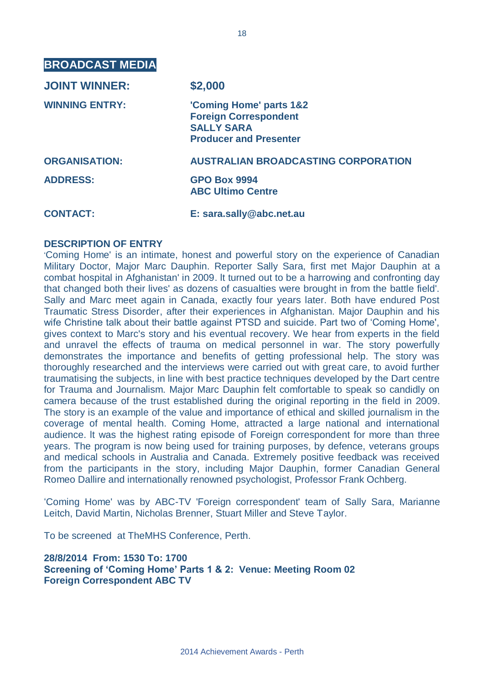**BROADCAST MEDIA**

| <b>JOINT WINNER:</b>  | \$2,000                                                                                                       |
|-----------------------|---------------------------------------------------------------------------------------------------------------|
| <b>WINNING ENTRY:</b> | 'Coming Home' parts 1&2<br><b>Foreign Correspondent</b><br><b>SALLY SARA</b><br><b>Producer and Presenter</b> |
| <b>ORGANISATION:</b>  | <b>AUSTRALIAN BROADCASTING CORPORATION</b>                                                                    |
| <b>ADDRESS:</b>       | <b>GPO Box 9994</b><br><b>ABC Ultimo Centre</b>                                                               |
| <b>CONTACT:</b>       | E: sara.sally@abc.net.au                                                                                      |

#### **DESCRIPTION OF ENTRY**

'Coming Home' is an intimate, honest and powerful story on the experience of Canadian Military Doctor, Major Marc Dauphin. Reporter Sally Sara, first met Major Dauphin at a combat hospital in Afghanistan' in 2009. lt turned out to be a harrowing and confronting day that changed both their lives' as dozens of casualties were brought in from the battle field'. Sally and Marc meet again in Canada, exactly four years later. Both have endured Post Traumatic Stress Disorder, after their experiences in Afghanistan. Major Dauphin and his wife Christine talk about their battle against PTSD and suicide. Part two of 'Coming Home', gives context to Marc's story and his eventual recovery. We hear from experts in the field and unravel the effects of trauma on medical personnel in war. The story powerfully demonstrates the importance and benefits of getting professional help. The story was thoroughly researched and the interviews were carried out with great care, to avoid further traumatising the subjects, in line with best practice techniques developed by the Dart centre for Trauma and Journalism. Major Marc Dauphin felt comfortable to speak so candidly on camera because of the trust established during the original reporting in the field in 2009. The story is an example of the value and importance of ethical and skilled journalism in the coverage of mental health. Coming Home, attracted a large national and international audience. lt was the highest rating episode of Foreign correspondent for more than three years. The program is now being used for training purposes, by defence, veterans groups and medical schools in Australia and Canada. Extremely positive feedback was received from the participants in the story, including Major Dauphin, former Canadian General Romeo Dallire and internationally renowned psychologist, Professor Frank Ochberg.

'Coming Home' was by ABC-TV 'Foreign correspondent' team of Sally Sara, Marianne Leitch, David Martin, Nicholas Brenner, Stuart Miller and Steve Taylor.

To be screened at TheMHS Conference, Perth.

**28/8/2014 From: 1530 To: 1700 Screening of 'Coming Home' Parts 1 & 2: Venue: Meeting Room 02 Foreign Correspondent ABC TV**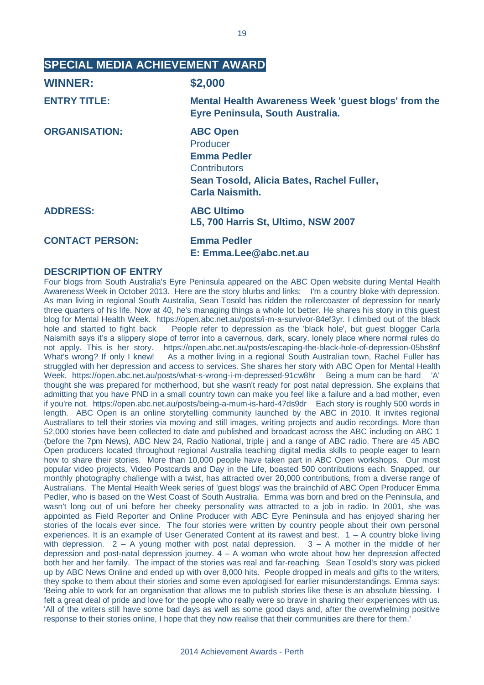#### **SPECIAL MEDIA ACHIEVEMENT AWARD**

| <b>WINNER:</b>         | \$2,000                                                                                                                                  |
|------------------------|------------------------------------------------------------------------------------------------------------------------------------------|
| <b>ENTRY TITLE:</b>    | Mental Health Awareness Week 'guest blogs' from the<br>Eyre Peninsula, South Australia.                                                  |
| <b>ORGANISATION:</b>   | <b>ABC Open</b><br>Producer<br><b>Emma Pedler</b><br>Contributors<br>Sean Tosold, Alicia Bates, Rachel Fuller,<br><b>Carla Naismith.</b> |
| <b>ADDRESS:</b>        | <b>ABC Ultimo</b><br>L5, 700 Harris St, Ultimo, NSW 2007                                                                                 |
| <b>CONTACT PERSON:</b> | <b>Emma Pedler</b><br>E: Emma.Lee@abc.net.au                                                                                             |

#### **DESCRIPTION OF ENTRY**

Four blogs from South Australia's Eyre Peninsula appeared on the ABC Open website during Mental Health Awareness Week in October 2013. Here are the story blurbs and links: I'm a country bloke with depression. As man living in regional South Australia, Sean Tosold has ridden the rollercoaster of depression for nearly three quarters of his life. Now at 40, he's managing things a whole lot better. He shares his story in this guest blog for Mental Health Week. https://open.abc.net.au/posts/i-m-a-survivor-84ef3yr. I climbed out of the black hole and started to fight back People refer to depression as the 'black hole', but quest blogger Carla Naismith says it's a slippery slope of terror into a cavernous, dark, scary, lonely place where normal rules do not apply. This is her story. https://open.abc.net.au/posts/escaping-the-black-hole-of-depression-05bs8nf What's wrong? If only I knew! As a mother living in a regional South Australian town, Rachel Fuller has struggled with her depression and access to services. She shares her story with ABC Open for Mental Health Week. https://open.abc.net.au/posts/what-s-wrong-i-m-depressed-91cw8hr Being a mum can be hard 'A' thought she was prepared for motherhood, but she wasn't ready for post natal depression. She explains that admitting that you have PND in a small country town can make you feel like a failure and a bad mother, even if you're not. https://open.abc.net.au/posts/being-a-mum-is-hard-47ds9dr Each story is roughly 500 words in length. ABC Open is an online storytelling community launched by the ABC in 2010. It invites regional Australians to tell their stories via moving and still images, writing projects and audio recordings. More than 52,000 stories have been collected to date and published and broadcast across the ABC including on ABC 1 (before the 7pm News), ABC New 24, Radio National, triple j and a range of ABC radio. There are 45 ABC Open producers located throughout regional Australia teaching digital media skills to people eager to learn how to share their stories. More than 10,000 people have taken part in ABC Open workshops. Our most popular video projects, Video Postcards and Day in the Life, boasted 500 contributions each. Snapped, our monthly photography challenge with a twist, has attracted over 20,000 contributions, from a diverse range of Australians. The Mental Health Week series of 'guest blogs' was the brainchild of ABC Open Producer Emma Pedler, who is based on the West Coast of South Australia. Emma was born and bred on the Peninsula, and wasn't long out of uni before her cheeky personality was attracted to a job in radio. In 2001, she was appointed as Field Reporter and Online Producer with ABC Eyre Peninsula and has enjoyed sharing her stories of the locals ever since. The four stories were written by country people about their own personal experiences. It is an example of User Generated Content at its rawest and best. 1 – A country bloke living with depression.  $2 - A$  young mother with post natal depression.  $3 - A$  mother in the middle of her depression and post-natal depression journey. 4 – A woman who wrote about how her depression affected both her and her family. The impact of the stories was real and far-reaching. Sean Tosold's story was picked up by ABC News Online and ended up with over 8,000 hits. People dropped in meals and gifts to the writers, they spoke to them about their stories and some even apologised for earlier misunderstandings. Emma says: 'Being able to work for an organisation that allows me to publish stories like these is an absolute blessing. I felt a great deal of pride and love for the people who really were so brave in sharing their experiences with us. 'All of the writers still have some bad days as well as some good days and, after the overwhelming positive response to their stories online, I hope that they now realise that their communities are there for them.'

19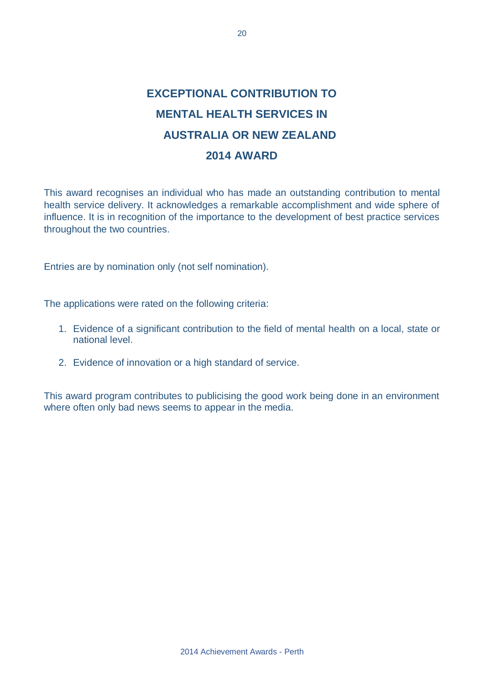### **EXCEPTIONAL CONTRIBUTION TO MENTAL HEALTH SERVICES IN AUSTRALIA OR NEW ZEALAND 2014 AWARD**

This award recognises an individual who has made an outstanding contribution to mental health service delivery. It acknowledges a remarkable accomplishment and wide sphere of influence. It is in recognition of the importance to the development of best practice services throughout the two countries.

Entries are by nomination only (not self nomination).

The applications were rated on the following criteria:

- 1. Evidence of a significant contribution to the field of mental health on a local, state or national level.
- 2. Evidence of innovation or a high standard of service.

This award program contributes to publicising the good work being done in an environment where often only bad news seems to appear in the media.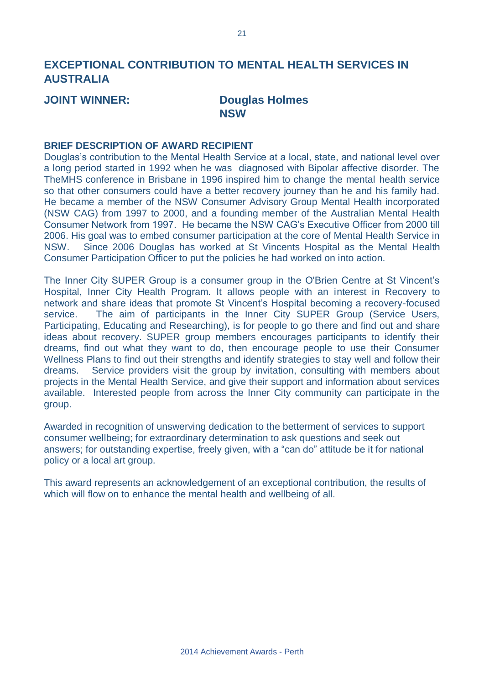#### **EXCEPTIONAL CONTRIBUTION TO MENTAL HEALTH SERVICES IN AUSTRALIA**

#### **JOINT WINNER: Douglas Holmes NSW**

#### **BRIEF DESCRIPTION OF AWARD RECIPIENT**

Douglas's contribution to the Mental Health Service at a local, state, and national level over a long period started in 1992 when he was diagnosed with Bipolar affective disorder. The TheMHS conference in Brisbane in 1996 inspired him to change the mental health service so that other consumers could have a better recovery journey than he and his family had. He became a member of the NSW Consumer Advisory Group Mental Health incorporated (NSW CAG) from 1997 to 2000, and a founding member of the Australian Mental Health Consumer Network from 1997. He became the NSW CAG's Executive Officer from 2000 till 2006. His goal was to embed consumer participation at the core of Mental Health Service in NSW. Since 2006 Douglas has worked at St Vincents Hospital as the Mental Health Consumer Participation Officer to put the policies he had worked on into action.

The Inner City SUPER Group is a consumer group in the O'Brien Centre at St Vincent's Hospital, Inner City Health Program. It allows people with an interest in Recovery to network and share ideas that promote St Vincent's Hospital becoming a recovery-focused service. The aim of participants in the Inner City SUPER Group (Service Users, Participating, Educating and Researching), is for people to go there and find out and share ideas about recovery. SUPER group members encourages participants to identify their dreams, find out what they want to do, then encourage people to use their Consumer Wellness Plans to find out their strengths and identify strategies to stay well and follow their dreams. Service providers visit the group by invitation, consulting with members about projects in the Mental Health Service, and give their support and information about services available. Interested people from across the Inner City community can participate in the group.

Awarded in recognition of unswerving dedication to the betterment of services to support consumer wellbeing; for extraordinary determination to ask questions and seek out answers; for outstanding expertise, freely given, with a "can do" attitude be it for national policy or a local art group.

This award represents an acknowledgement of an exceptional contribution, the results of which will flow on to enhance the mental health and wellbeing of all.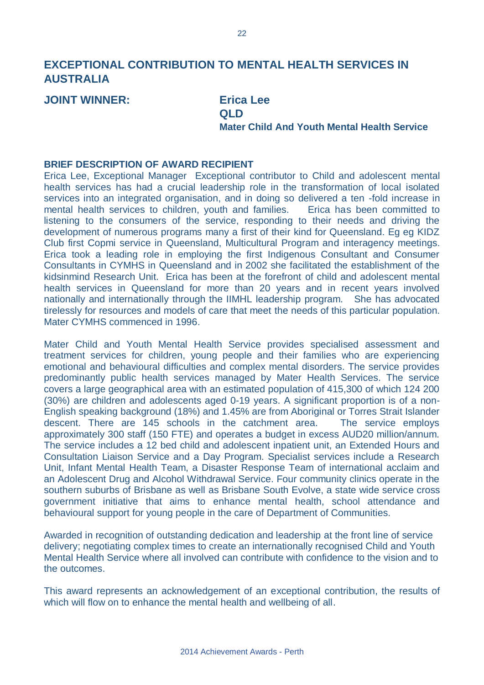### **EXCEPTIONAL CONTRIBUTION TO MENTAL HEALTH SERVICES IN AUSTRALIA**

**JOINT WINNER: Erica Lee**

## **QLD**

**Mater Child And Youth Mental Health Service**

#### **BRIEF DESCRIPTION OF AWARD RECIPIENT**

Erica Lee, Exceptional Manager Exceptional contributor to Child and adolescent mental health services has had a crucial leadership role in the transformation of local isolated services into an integrated organisation, and in doing so delivered a ten -fold increase in mental health services to children, youth and families. Erica has been committed to listening to the consumers of the service, responding to their needs and driving the development of numerous programs many a first of their kind for Queensland. Eg eg KIDZ Club first Copmi service in Queensland, Multicultural Program and interagency meetings. Erica took a leading role in employing the first Indigenous Consultant and Consumer Consultants in CYMHS in Queensland and in 2002 she facilitated the establishment of the kidsinmind Research Unit. Erica has been at the forefront of child and adolescent mental health services in Queensland for more than 20 years and in recent years involved nationally and internationally through the IIMHL leadership program. She has advocated tirelessly for resources and models of care that meet the needs of this particular population. Mater CYMHS commenced in 1996.

Mater Child and Youth Mental Health Service provides specialised assessment and treatment services for children, young people and their families who are experiencing emotional and behavioural difficulties and complex mental disorders. The service provides predominantly public health services managed by Mater Health Services. The service covers a large geographical area with an estimated population of 415,300 of which 124 200 (30%) are children and adolescents aged 0-19 years. A significant proportion is of a non-English speaking background (18%) and 1.45% are from Aboriginal or Torres Strait Islander descent. There are 145 schools in the catchment area. The service employs approximately 300 staff (150 FTE) and operates a budget in excess AUD20 million/annum. The service includes a 12 bed child and adolescent inpatient unit, an Extended Hours and Consultation Liaison Service and a Day Program. Specialist services include a Research Unit, Infant Mental Health Team, a Disaster Response Team of international acclaim and an Adolescent Drug and Alcohol Withdrawal Service. Four community clinics operate in the southern suburbs of Brisbane as well as Brisbane South Evolve, a state wide service cross government initiative that aims to enhance mental health, school attendance and behavioural support for young people in the care of Department of Communities.

Awarded in recognition of outstanding dedication and leadership at the front line of service delivery; negotiating complex times to create an internationally recognised Child and Youth Mental Health Service where all involved can contribute with confidence to the vision and to the outcomes.

This award represents an acknowledgement of an exceptional contribution, the results of which will flow on to enhance the mental health and wellbeing of all.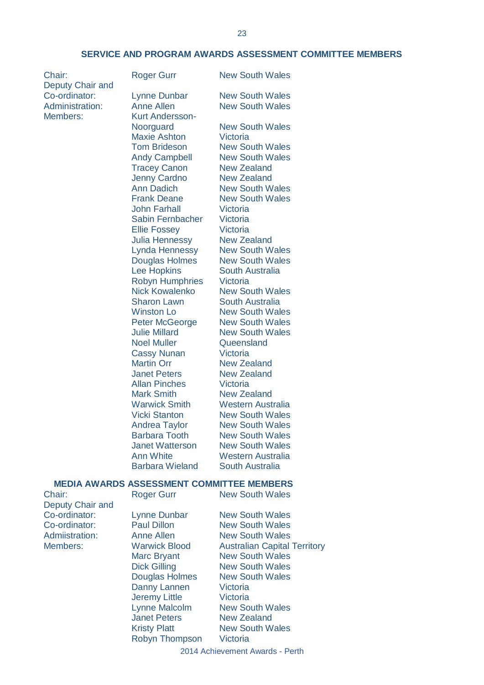#### **SERVICE AND PROGRAM AWARDS ASSESSMENT COMMITTEE MEMBERS**

Deputy Chair and Members: Kurt Andersson-

Chair: Roger Gurr New South Wales Co-ordinator: Lynne Dunbar New South Wales Administration: Anne Allen New South Wales Noorguard New South Wales Maxie Ashton Victoria Tom Brideson New South Wales Andy Campbell New South Wales Tracey Canon New Zealand Jenny Cardno New Zealand Ann Dadich New South Wales Frank Deane New South Wales John Farhall Victoria Sabin Fernbacher Victoria Ellie Fossey Victoria<br>Julia Hennessy New Zealand Julia Hennessy Lynda Hennessy New South Wales Douglas Holmes New South Wales Lee Hopkins South Australia Robyn Humphries Victoria Nick Kowalenko New South Wales Sharon Lawn South Australia Winston Lo **New South Wales** Peter McGeorge New South Wales Julie Millard New South Wales Noel Muller **Queensland** Cassy Nunan Victoria Martin Orr New Zealand Janet Peters New Zealand Allan Pinches Victoria Mark Smith New Zealand Warwick Smith Western Australia<br>Vicki Stanton New South Wales Andrea Taylor New South Wales Barbara Tooth New South Wales Janet Watterson New South Wales Ann White Western Australia Barbara Wieland South Australia

**New South Wales** 

#### **MEDIA AWARDS ASSESSMENT COMMITTEE MEMBERS**

Chair: Roger Gurr New South Wales Deputy Chair and<br>Co-ordinator:

Lynne Dunbar New South Wales Co-ordinator: Paul Dillon New South Wales Admiistration: Anne Allen New South Wales Members: Warwick Blood Australian Capital Territory Marc Bryant New South Wales Dick Gilling New South Wales Douglas Holmes New South Wales Danny Lannen Victoria Jeremy Little Victoria Lynne Malcolm New South Wales Janet Peters New Zealand Kristy Platt New South Wales Robyn Thompson Victoria

2014 Achievement Awards - Perth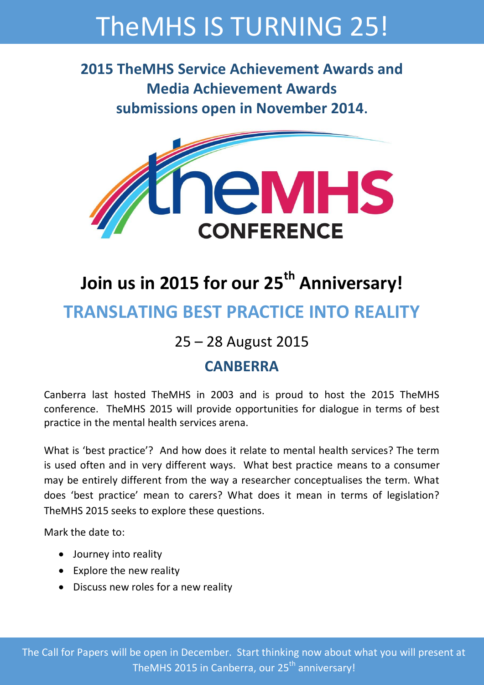# TheMHS IS TURNING 25!

**2015 TheMHS Service Achievement Awards and Media Achievement Awards submissions open in November 2014.**



## **Join us in 2015 for our 25th Anniversary! TRANSLATING BEST PRACTICE INTO REALITY**

### 25 – 28 August 2015

### **CANBERRA**

Canberra last hosted TheMHS in 2003 and is proud to host the 2015 TheMHS conference. TheMHS 2015 will provide opportunities for dialogue in terms of best practice in the mental health services arena.

What is 'best practice'? And how does it relate to mental health services? The term is used often and in very different ways. What best practice means to a consumer may be entirely different from the way a researcher conceptualises the term. What does 'best practice' mean to carers? What does it mean in terms of legislation? TheMHS 2015 seeks to explore these questions.

Mark the date to:

- Journey into reality
- Explore the new reality
- Discuss new roles for a new reality

The Call for Papers will be open in December. Start thinking now about what you will present at TheMHS 2015 in Canberra, our 25<sup>th</sup> anniversary!